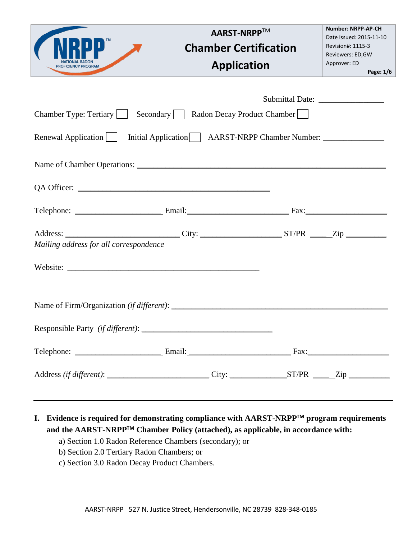|                                                                                                                                                | <b>AARST-NRPP™</b><br><b>Chamber Certification</b><br><b>Application</b>          | <b>Number: NRPP-AP-CH</b><br>Date Issued: 2015-11-10<br>Revision#: 1115-3<br>Reviewers: ED, GW<br>Approver: ED<br>Page: 1/6 |
|------------------------------------------------------------------------------------------------------------------------------------------------|-----------------------------------------------------------------------------------|-----------------------------------------------------------------------------------------------------------------------------|
| Chamber Type: Tertiary     Secondary     Radon Decay Product Chamber    <br>Renewal Application                                                | Initial Application     AARST-NRPP Chamber Number: ______________________________ |                                                                                                                             |
|                                                                                                                                                |                                                                                   |                                                                                                                             |
| Address: _____________________________City: _________________________ST/PR ______Zip _______________<br>Mailing address for all correspondence |                                                                                   |                                                                                                                             |
| Name of Firm/Organization (if different):                                                                                                      |                                                                                   |                                                                                                                             |
|                                                                                                                                                |                                                                                   |                                                                                                                             |
| Address (if different): _______________________________City: __________________ST/PR ______Zip _______________                                 |                                                                                   |                                                                                                                             |

**I. Evidence is required for demonstrating compliance with AARST-NRPPTM program requirements and the AARST-NRPPTM Chamber Policy (attached), as applicable, in accordance with:**

- a) Section 1.0 Radon Reference Chambers (secondary); or
- b) Section 2.0 Tertiary Radon Chambers; or
- c) Section 3.0 Radon Decay Product Chambers.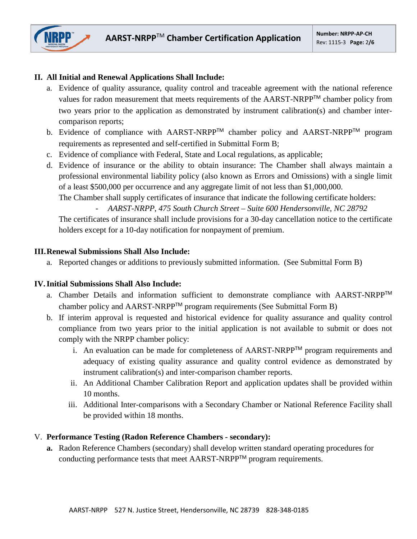

# **II. All Initial and Renewal Applications Shall Include:**

- a. Evidence of quality assurance, quality control and traceable agreement with the national reference values for radon measurement that meets requirements of the AARST-NRPP™ chamber policy from two years prior to the application as demonstrated by instrument calibration(s) and chamber intercomparison reports;
- b. Evidence of compliance with AARST-NRPP<sup>™</sup> chamber policy and AARST-NRPP™ program requirements as represented and self-certified in Submittal Form B;
- c. Evidence of compliance with Federal, State and Local regulations, as applicable;
- d. Evidence of insurance or the ability to obtain insurance: The Chamber shall always maintain a professional environmental liability policy (also known as Errors and Omissions) with a single limit of a least \$500,000 per occurrence and any aggregate limit of not less than \$1,000,000.

The Chamber shall supply certificates of insurance that indicate the following certificate holders:

- *AARST-NRPP, 475 South Church Street – Suite 600 Hendersonville, NC 28792*

The certificates of insurance shall include provisions for a 30-day cancellation notice to the certificate holders except for a 10-day notification for nonpayment of premium.

### **III.Renewal Submissions Shall Also Include:**

a. Reported changes or additions to previously submitted information. (See Submittal Form B)

### **IV.Initial Submissions Shall Also Include:**

- a. Chamber Details and information sufficient to demonstrate compliance with AARST-NRPPTM chamber policy and AARST-NRPPTM program requirements (See Submittal Form B)
- b. If interim approval is requested and historical evidence for quality assurance and quality control compliance from two years prior to the initial application is not available to submit or does not comply with the NRPP chamber policy:
	- i. An evaluation can be made for completeness of  $AARST-NRPP^{TM}$  program requirements and adequacy of existing quality assurance and quality control evidence as demonstrated by instrument calibration(s) and inter-comparison chamber reports.
	- ii. An Additional Chamber Calibration Report and application updates shall be provided within 10 months.
	- iii. Additional Inter-comparisons with a Secondary Chamber or National Reference Facility shall be provided within 18 months.

## V. **Performance Testing (Radon Reference Chambers - secondary):**

**a.** Radon Reference Chambers (secondary) shall develop written standard operating procedures for conducting performance tests that meet AARST-NRPPTM program requirements.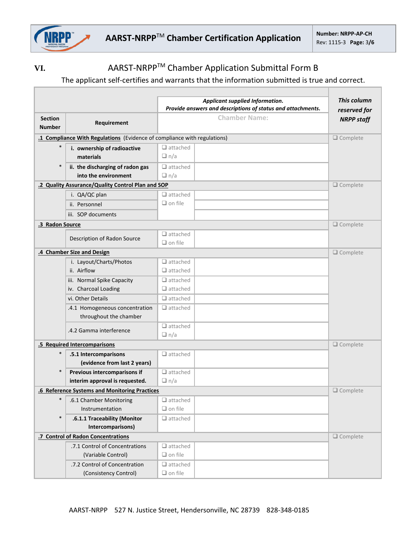

Г

# VI. AARST-NRPP<sup>™</sup> Chamber Application Submittal Form B

# The applicant self-certifies and warrants that the information submitted is true and correct.

|                                 | Applicant supplied Information.<br>Provide answers and descriptions of status and attachments. |                                    | This column<br>reserved for |
|---------------------------------|------------------------------------------------------------------------------------------------|------------------------------------|-----------------------------|
| <b>Section</b><br><b>Number</b> | Requirement                                                                                    | <b>Chamber Name:</b>               | <b>NRPP staff</b>           |
|                                 | .1 Compliance With Regulations (Evidence of compliance with regulations)                       |                                    | $\Box$ Complete             |
| $\ast$                          | i. ownership of radioactive<br>materials                                                       | $\Box$ attached<br>$\Box$ n/a      |                             |
| $\ast$                          | ii. the discharging of radon gas<br>into the environment                                       | $\Box$ attached<br>$\Box$ n/a      |                             |
|                                 | .2 Quality Assurance/Quality Control Plan and SOP<br>$\Box$ Complete                           |                                    |                             |
|                                 | i. QA/QC plan                                                                                  | $\Box$ attached                    |                             |
|                                 | ii. Personnel                                                                                  | $\Box$ on file                     |                             |
|                                 | iii. SOP documents                                                                             |                                    |                             |
| .3 Radon Source                 |                                                                                                |                                    | $\Box$ Complete             |
|                                 | Description of Radon Source                                                                    | $\Box$ attached<br>$\Box$ on file  |                             |
|                                 | .4 Chamber Size and Design                                                                     |                                    | $\Box$ Complete             |
|                                 | i. Layout/Charts/Photos<br>ii. Airflow                                                         | $\Box$ attached<br>$\Box$ attached |                             |
|                                 | iii. Normal Spike Capacity                                                                     | $\Box$ attached                    |                             |
|                                 | iv. Charcoal Loading                                                                           | $\Box$ attached                    |                             |
|                                 | vi. Other Details                                                                              | $\Box$ attached                    |                             |
|                                 | .4.1 Homogeneous concentration                                                                 | $\Box$ attached                    |                             |
|                                 | throughout the chamber                                                                         |                                    |                             |
|                                 | .4.2 Gamma interference                                                                        | $\Box$ attached<br>$\Box$ n/a      |                             |
|                                 | .5 Required Intercomparisons                                                                   |                                    | $\Box$ Complete             |
| $\ast$                          | .5.1 Intercomparisons<br>(evidence from last 2 years)                                          | $\Box$ attached                    |                             |
| $\ast$                          | Previous intercomparisons if                                                                   | $\Box$ attached                    |                             |
|                                 | interim approval is requested.                                                                 | $\Box$ n/a                         |                             |
|                                 | .6 Reference Systems and Monitoring Practices                                                  |                                    | $\Box$ Complete             |
| $\ast$                          | .6.1 Chamber Monitoring                                                                        | $\Box$ attached                    |                             |
|                                 | Instrumentation                                                                                | $\Box$ on file                     |                             |
| $\ast$                          | .6.1.1 Traceability (Monitor                                                                   | $\Box$ attached                    |                             |
|                                 | Intercomparisons)<br>.7 Control of Radon Concentrations                                        |                                    | $\Box$ Complete             |
|                                 | .7.1 Control of Concentrations                                                                 | $\Box$ attached                    |                             |
|                                 | (Variable Control)                                                                             | $\Box$ on file                     |                             |
|                                 | .7.2 Control of Concentration<br>(Consistency Control)                                         | $\Box$ attached<br>$\Box$ on file  |                             |
|                                 |                                                                                                |                                    |                             |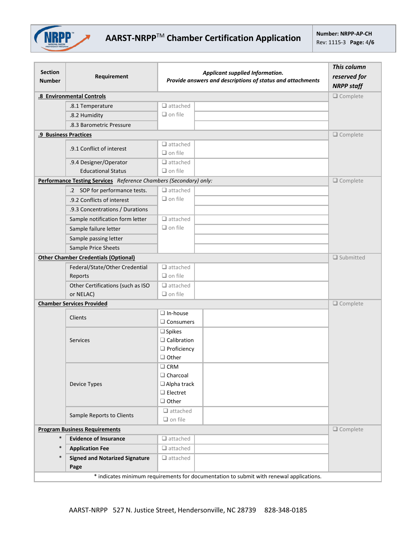

| <b>Section</b><br><b>Number</b>                                                         | Requirement                                                       | Applicant supplied Information.<br>Provide answers and descriptions of status and attachments | This column<br>reserved for<br><b>NRPP staff</b> |
|-----------------------------------------------------------------------------------------|-------------------------------------------------------------------|-----------------------------------------------------------------------------------------------|--------------------------------------------------|
|                                                                                         | .8 Environmental Controls                                         |                                                                                               | $\Box$ Complete                                  |
|                                                                                         | .8.1 Temperature                                                  | $\Box$ attached                                                                               |                                                  |
|                                                                                         | .8.2 Humidity                                                     | $\Box$ on file                                                                                |                                                  |
|                                                                                         | .8.3 Barometric Pressure                                          |                                                                                               |                                                  |
|                                                                                         | .9 Business Practices                                             |                                                                                               | $\Box$ Complete                                  |
|                                                                                         | .9.1 Conflict of interest                                         | $\Box$ attached<br>$\Box$ on file                                                             |                                                  |
|                                                                                         | .9.4 Designer/Operator<br><b>Educational Status</b>               | $\Box$ attached<br>$\Box$ on file                                                             |                                                  |
|                                                                                         | Performance Testing Services Reference Chambers (Secondary) only: |                                                                                               | $\Box$ Complete                                  |
|                                                                                         | .2 SOP for performance tests.                                     | $\Box$ attached                                                                               |                                                  |
|                                                                                         | .9.2 Conflicts of interest                                        | $\Box$ on file                                                                                |                                                  |
|                                                                                         | .9.3 Concentrations / Durations                                   |                                                                                               |                                                  |
|                                                                                         | Sample notification form letter                                   | $\Box$ attached                                                                               |                                                  |
|                                                                                         | Sample failure letter                                             | $\Box$ on file                                                                                |                                                  |
|                                                                                         | Sample passing letter                                             |                                                                                               |                                                  |
|                                                                                         | Sample Price Sheets                                               |                                                                                               |                                                  |
|                                                                                         | <b>Other Chamber Credentials (Optional)</b>                       |                                                                                               | $\Box$ Submitted                                 |
|                                                                                         | Federal/State/Other Credential                                    | $\Box$ attached                                                                               |                                                  |
|                                                                                         | Reports                                                           | $\Box$ on file                                                                                |                                                  |
|                                                                                         | Other Certifications (such as ISO                                 | $\Box$ attached                                                                               |                                                  |
|                                                                                         | or NELAC)                                                         | $\Box$ on file                                                                                |                                                  |
|                                                                                         | <b>Chamber Services Provided</b>                                  |                                                                                               | $\Box$ Complete                                  |
|                                                                                         | Clients                                                           | $\Box$ In-house<br>$\Box$ Consumers                                                           |                                                  |
|                                                                                         | Services                                                          | $\square$ Spikes<br>$\Box$ Calibration<br>$\Box$ Proficiency<br>$\Box$ Other                  |                                                  |
|                                                                                         | Device Types                                                      | $\square$ CRM<br>$\Box$ Charcoal<br>$\Box$ Alpha track<br>$\Box$ Electret<br>$\Box$ Other     |                                                  |
|                                                                                         | Sample Reports to Clients                                         | $\Box$ attached<br>$\Box$ on file                                                             |                                                  |
|                                                                                         | $\Box$ Complete<br><b>Program Business Requirements</b>           |                                                                                               |                                                  |
| $\ast$                                                                                  | <b>Evidence of Insurance</b>                                      | $\Box$ attached                                                                               |                                                  |
| $\ast$                                                                                  | <b>Application Fee</b>                                            | $\Box$ attached                                                                               |                                                  |
| $\ast$                                                                                  | <b>Signed and Notarized Signature</b><br>Page                     | $\Box$ attached                                                                               |                                                  |
| * indicates minimum requirements for documentation to submit with renewal applications. |                                                                   |                                                                                               |                                                  |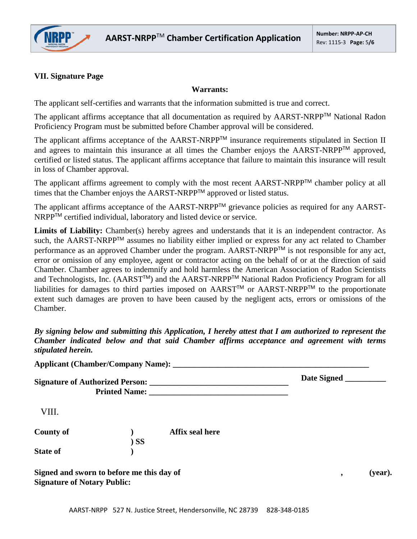

### **VII. Signature Page**

### **Warrants:**

The applicant self-certifies and warrants that the information submitted is true and correct.

The applicant affirms acceptance that all documentation as required by AARST-NRPP™ National Radon Proficiency Program must be submitted before Chamber approval will be considered.

The applicant affirms acceptance of the AARST-NRPP™ insurance requirements stipulated in Section II and agrees to maintain this insurance at all times the Chamber enjoys the AARST-NRPP<sup>TM</sup> approved, certified or listed status. The applicant affirms acceptance that failure to maintain this insurance will result in loss of Chamber approval.

The applicant affirms agreement to comply with the most recent AARST-NRPP™ chamber policy at all times that the Chamber enjoys the AARST-NRPPTM approved or listed status.

The applicant affirms acceptance of the AARST-NRPP™ grievance policies as required for any AARST-NRPP<sup>™</sup> certified individual, laboratory and listed device or service.

Limits of Liability: Chamber(s) hereby agrees and understands that it is an independent contractor. As such, the AARST-NRPP<sup>™</sup> assumes no liability either implied or express for any act related to Chamber performance as an approved Chamber under the program. AARST-NRPP™ is not responsible for any act, error or omission of any employee, agent or contractor acting on the behalf of or at the direction of said Chamber. Chamber agrees to indemnify and hold harmless the American Association of Radon Scientists and Technologists, Inc. (AARST<sup>™</sup>) and the AARST-NRPP<sup>™</sup> National Radon Proficiency Program for all liabilities for damages to third parties imposed on AARST™ or AARST-NRPP™ to the proportionate extent such damages are proven to have been caused by the negligent acts, errors or omissions of the Chamber.

*By signing below and submitting this Application, I hereby attest that I am authorized to represent the Chamber indicated below and that said Chamber affirms acceptance and agreement with terms stipulated herein.*

|                  | <b>Applicant (Chamber/Company Name):</b>  | Date Signed  |
|------------------|-------------------------------------------|--------------|
| VIII.            |                                           |              |
| <b>County of</b> | Affix seal here<br>$)$ SS                 |              |
| <b>State of</b>  |                                           |              |
|                  | Signed and sworn to before me this day of | (year).<br>, |

**Signature of Notary Public:**